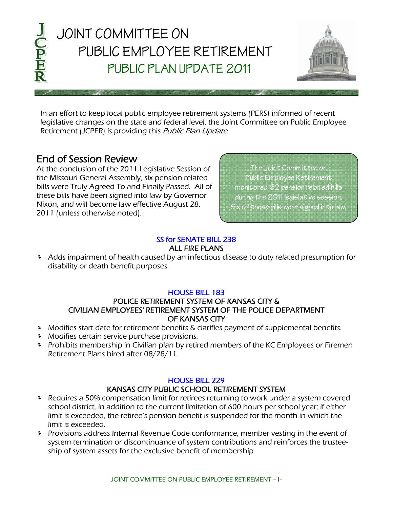

 In an effort to keep local public employee retirement systems (PERS) informed of recent legislative changes on the state and federal level, the Joint Committee on Public Employee Retirement (JCPER) is providing this *Public Plan Update*.

# End of Session Review

At the conclusion of the 2011 Legislative Session of the Missouri General Assembly, six pension related bills were Truly Agreed To and Finally Passed. All of these bills have been signed into law by Governor Nixon, and will become law effective August 28, 2011 (unless otherwise noted).

The Joint Committee on Public Employee Retirement monitored 62 pension related bills during the 2011 legislative session. Six of these bills were signed into law.

## [SS for SENATE BILL 238](http://www.senate.mo.gov/11info/BTS_Web/Bill.aspx?SessionType=R&BillID=4129199)  ALL FIRE PLANS

 Adds impairment of health caused by an infectious disease to duty related presumption for disability or death benefit purposes.

## [HOUSE BILL 183](http://www.house.mo.gov/billsummary.aspx?bill=hb183&year=2011&code=R)

#### POLICE RETIREMENT SYSTEM OF KANSAS CITY & CIVILIAN EMPLOYEES' RETIREMENT SYSTEM OF THE POLICE DEPARTMENT OF KANSAS CITY

- Modifies start date for retirement benefits & clarifies payment of supplemental benefits.
- **Modifies certain service purchase provisions.**
- Prohibits membership in Civilian plan by retired members of the KC Employees or Firemen Retirement Plans hired after 08/28/11.

#### [HOUSE BILL 229](http://www.house.mo.gov/billsummary.aspx?bill=hb229&year=2011&code=R)

#### KANSAS CITY PUBLIC SCHOOL RETIREMENT SYSTEM

- P Requires a 50% compensation limit for retirees returning to work under a system covered school district, in addition to the current limitation of 600 hours per school year; if either limit is exceeded, the retiree's pension benefit is suspended for the month in which the limit is exceeded.
- **F** Provisions address Internal Revenue Code conformance, member vesting in the event of system termination or discontinuance of system contributions and reinforces the trusteeship of system assets for the exclusive benefit of membership.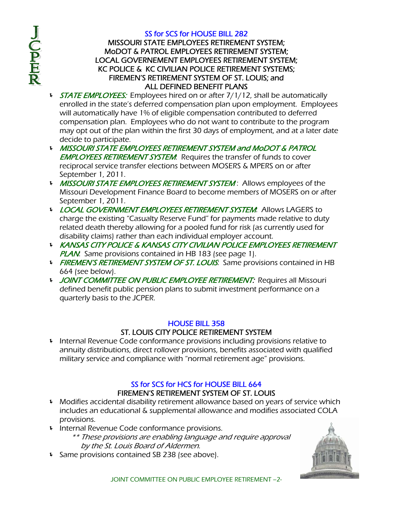J<br>CPER

#### [SS for SCS for HOUSE BILL 282](http://www.house.mo.gov/billsummary.aspx?bill=hb282&year=2011&code=R)

## MISSOURI STATE EMPLOYEES RETIREMENT SYSTEM; MoDOT & PATROL EMPLOYEES RETIREMENT SYSTEM; LOCAL GOVERNEMENT EMPLOYEES RETIREMENT SYSTEM; KC POLICE & KC CIVILIAN POLICE RETIREMENT SYSTEMS; FIREMEN'S RETIREMENT SYSTEM OF ST. LOUIS; and ALL DEFINED BENEFIT PLANS

- **STATE EMPLOYEES:** Employees hired on or after 7/1/12, shall be automatically enrolled in the state's deferred compensation plan upon employment. Employees will automatically have 1% of eligible compensation contributed to deferred compensation plan. Employees who do not want to contribute to the program may opt out of the plan within the first 30 days of employment, and at a later date decide to participate.
- MISSOURI STATE EMPLOYEES RETIREMENT SYSTEM and MoDOT & PATROL **EMPLOYEES RETIREMENT SYSTEM:** Requires the transfer of funds to cover reciprocal service transfer elections between MOSERS & MPERS on or after September 1, 2011.
- MISSOURI STATE EMPLOYEES RETIREMENT SYSTEM: Allows employees of the Missouri Development Finance Board to become members of MOSERS on or after September 1, 2011.
- LOCAL GOVERNMENT EMPLOYEES RETIREMENT SYSTEM: Allows LAGERS to charge the existing "Casualty Reserve Fund" for payments made relative to duty related death thereby allowing for a pooled fund for risk (as currently used for disability claims) rather than each individual employer account.
- KANSAS CITY POLICE & KANSAS CITY CIVILIAN POLICE EMPLOYEES RETIREMENT **PLAN:** Same provisions contained in HB 183 (see page 1).
- FIREMEN'S RETIREMENT SYSTEM OF ST. LOUIS: Same provisions contained in HB 664 (see below).
- I JOINT COMMITTEE ON PUBLIC EMPLOYEE RETIREMENT: Requires all Missouri defined benefit public pension plans to submit investment performance on a quarterly basis to the JCPER.

## [HOUSE BILL 358](http://www.house.mo.gov/billsummary.aspx?bill=hb358&year=2011&code=R)

## ST. LOUIS CITY POLICE RETIREMENT SYSTEM

 Internal Revenue Code conformance provisions including provisions relative to annuity distributions, direct rollover provisions, benefits associated with qualified military service and compliance with "normal retirement age" provisions.

## [SS for SCS for HCS for HOUSE BILL 664](http://www.house.mo.gov/billsummary.aspx?bill=hb664&year=2011&code=R)  FIREMEN'S RETIREMENT SYSTEM OF ST. LOUIS

- Modifies accidental disability retirement allowance based on years of service which includes an educational & supplemental allowance and modifies associated COLA provisions.
- Internal Revenue Code conformance provisions.
	- \*\* These provisions are enabling language and require approval by the St. Louis Board of Aldermen.
- **Same provisions contained SB 238 (see above).**